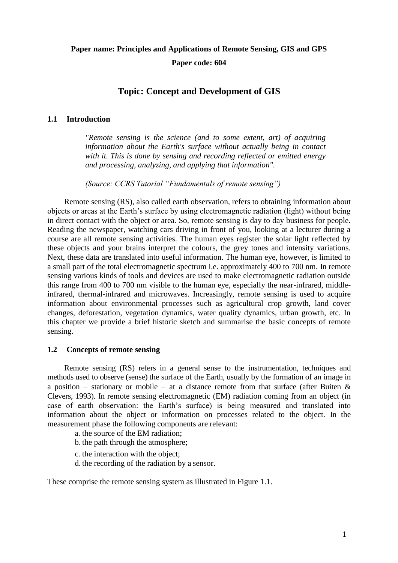# **Paper name: Principles and Applications of Remote Sensing, GIS and GPS Paper code: 604**

# **Topic: Concept and Development of GIS**

### **1.1 Introduction**

*"Remote sensing is the science (and to some extent, art) of acquiring information about the Earth's surface without actually being in contact with it. This is done by sensing and recording reflected or emitted energy and processing, analyzing, and applying that information".*

*(Source: CCRS Tutorial "Fundamentals of remote sensing")*

Remote sensing (RS), also called earth observation, refers to obtaining information about objects or areas at the Earth's surface by using electromagnetic radiation (light) without being in direct contact with the object or area. So, remote sensing is day to day business for people. Reading the newspaper, watching cars driving in front of you, looking at a lecturer during a course are all remote sensing activities. The human eyes register the solar light reflected by these objects and your brains interpret the colours, the grey tones and intensity variations. Next, these data are translated into useful information. The human eye, however, is limited to a small part of the total electromagnetic spectrum i.e. approximately 400 to 700 nm. In remote sensing various kinds of tools and devices are used to make electromagnetic radiation outside this range from 400 to 700 nm visible to the human eye, especially the near-infrared, middleinfrared, thermal-infrared and microwaves. Increasingly, remote sensing is used to acquire information about environmental processes such as agricultural crop growth, land cover changes, deforestation, vegetation dynamics, water quality dynamics, urban growth, etc. In this chapter we provide a brief historic sketch and summarise the basic concepts of remote sensing.

### **1.2 Concepts of remote sensing**

Remote sensing (RS) refers in a general sense to the instrumentation, techniques and methods used to observe (sense) the surface of the Earth, usually by the formation of an image in a position – stationary or mobile – at a distance remote from that surface (after Buiten  $\&$ Clevers, 1993). In remote sensing electromagnetic (EM) radiation coming from an object (in case of earth observation: the Earth's surface) is being measured and translated into information about the object or information on processes related to the object. In the measurement phase the following components are relevant:

a. the source of the EM radiation;

- b. the path through the atmosphere;
- c. the interaction with the object;
- d. the recording of the radiation by a sensor.

These comprise the remote sensing system as illustrated in [Figure 1.1.](#page-1-0)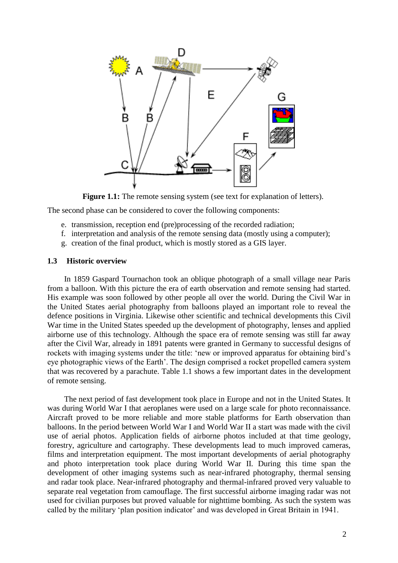

**Figure 1.1:** The remote sensing system (see text for explanation of letters).

<span id="page-1-0"></span>The second phase can be considered to cover the following components:

- e. transmission, reception end (pre)processing of the recorded radiation;
- f. interpretation and analysis of the remote sensing data (mostly using a computer);
- g. creation of the final product, which is mostly stored as a GIS layer.

#### **1.3 Historic overview**

In 1859 Gaspard Tournachon took an oblique photograph of a small village near Paris from a balloon. With this picture the era of earth observation and remote sensing had started. His example was soon followed by other people all over the world. During the Civil War in the United States aerial photography from balloons played an important role to reveal the defence positions in Virginia. Likewise other scientific and technical developments this Civil War time in the United States speeded up the development of photography, lenses and applied airborne use of this technology. Although the space era of remote sensing was still far away after the Civil War, already in 1891 patents were granted in Germany to successful designs of rockets with imaging systems under the title: 'new or improved apparatus for obtaining bird's eye photographic views of the Earth'. The design comprised a rocket propelled camera system that was recovered by a parachute. [Table 1.1 s](#page-2-0)hows a few important dates in the development of remote sensing.

The next period of fast development took place in Europe and not in the United States. It was during World War I that aeroplanes were used on a large scale for photo reconnaissance. Aircraft proved to be more reliable and more stable platforms for Earth observation than balloons. In the period between World War I and World War II a start was made with the civil use of aerial photos. Application fields of airborne photos included at that time geology, forestry, agriculture and cartography. These developments lead to much improved cameras, films and interpretation equipment. The most important developments of aerial photography and photo interpretation took place during World War II. During this time span the development of other imaging systems such as near-infrared photography, thermal sensing and radar took place. Near-infrared photography and thermal-infrared proved very valuable to separate real vegetation from camouflage. The first successful airborne imaging radar was not used for civilian purposes but proved valuable for nighttime bombing. As such the system was called by the military 'plan position indicator' and was developed in Great Britain in 1941.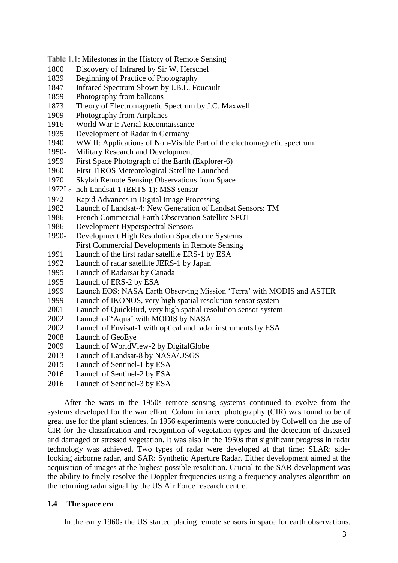<span id="page-2-0"></span>Table 1.1: Milestones in the History of Remote Sensing 1800 Discovery of Infrared by Sir W. Herschel<br>1839 Beginning of Practice of Photography Beginning of Practice of Photography Infrared Spectrum Shown by J.B.L. Foucault Photography from balloons Theory of Electromagnetic Spectrum by J.C. Maxwell Photography from Airplanes World War I: Aerial Reconnaissance Development of Radar in Germany 1940 WW II: Applications of Non-Visible Part of the electromagnetic spectrum 1950-<br>1950- Military Research and Development **Military Research and Development**  First Space Photograph of the Earth (Explorer-6) First TIROS Meteorological Satellite Launched 1970 1972La nch Landsat-1 (ERTS-1): MSS sensor Skylab Remote Sensing Observations from Space 1972- Rapid Advances in Digital Image Processing<br>1982 Launch of Landsat-4: New Generation of Lan Launch of Landsat-4: New Generation of Landsat Sensors: TM French Commercial Earth Observation Satellite SPOT Development Hyperspectral Sensors 1990- Development High Resolution Spaceborne Systems 1991 First Commercial Developments in Remote Sensing Launch of the first radar satellite ERS-1 by ESA Launch of radar satellite JERS-1 by Japan Launch of Radarsat by Canada Launch of ERS-2 by ESA Launch EOS: NASA Earth Observing Mission 'Terra' with MODIS and ASTER Launch of IKONOS, very high spatial resolution sensor system Launch of QuickBird, very high spatial resolution sensor system Launch of 'Aqua' with MODIS by NASA Launch of Envisat-1 with optical and radar instruments by ESA Launch of GeoEye Launch of WorldView-2 by DigitalGlobe Launch of Landsat-8 by NASA/USGS Launch of Sentinel-1 by ESA Launch of Sentinel-2 by ESA Launch of Sentinel-3 by ESA

After the wars in the 1950s remote sensing systems continued to evolve from the systems developed for the war effort. Colour infrared photography (CIR) was found to be of great use for the plant sciences. In 1956 experiments were conducted by Colwell on the use of CIR for the classification and recognition of vegetation types and the detection of diseased and damaged or stressed vegetation. It was also in the 1950s that significant progress in radar technology was achieved. Two types of radar were developed at that time: SLAR: sidelooking airborne radar, and SAR: Synthetic Aperture Radar. Either development aimed at the acquisition of images at the highest possible resolution. Crucial to the SAR development was the ability to finely resolve the Doppler frequencies using a frequency analyses algorithm on the returning radar signal by the US Air Force research centre.

## **1.4 The space era**

In the early 1960s the US started placing remote sensors in space for earth observations.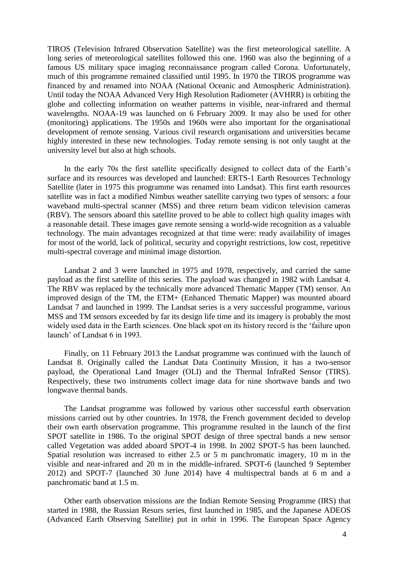TIROS (Television Infrared Observation Satellite) was the first meteorological satellite. A long series of meteorological satellites followed this one. 1960 was also the beginning of a famous US military space imaging reconnaissance program called Corona. Unfortunately, much of this programme remained classified until 1995. In 1970 the TIROS programme was financed by and renamed into NOAA (National Oceanic and Atmospheric Administration). Until today the NOAA Advanced Very High Resolution Radiometer (AVHRR) is orbiting the globe and collecting information on weather patterns in visible, near-infrared and thermal wavelengths. NOAA-19 was launched on 6 February 2009. It may also be used for other (monitoring) applications. The 1950s and 1960s were also important for the organisational development of remote sensing. Various civil research organisations and universities became highly interested in these new technologies. Today remote sensing is not only taught at the university level but also at high schools.

In the early 70s the first satellite specifically designed to collect data of the Earth's surface and its resources was developed and launched: ERTS-1 Earth Resources Technology Satellite (later in 1975 this programme was renamed into Landsat). This first earth resources satellite was in fact a modified Nimbus weather satellite carrying two types of sensors: a four waveband multi-spectral scanner (MSS) and three return beam vidicon television cameras (RBV). The sensors aboard this satellite proved to be able to collect high quality images with a reasonable detail. These images gave remote sensing a world-wide recognition as a valuable technology. The main advantages recognized at that time were: ready availability of images for most of the world, lack of political, security and copyright restrictions, low cost, repetitive multi-spectral coverage and minimal image distortion.

Landsat 2 and 3 were launched in 1975 and 1978, respectively, and carried the same payload as the first satellite of this series. The payload was changed in 1982 with Landsat 4. The RBV was replaced by the technically more advanced Thematic Mapper (TM) sensor. An improved design of the TM, the ETM+ (Enhanced Thematic Mapper) was mounted aboard Landsat 7 and launched in 1999. The Landsat series is a very successful programme, various MSS and TM sensors exceeded by far its design life time and its imagery is probably the most widely used data in the Earth sciences. One black spot on its history record is the 'failure upon launch' of Landsat 6 in 1993.

Finally, on 11 February 2013 the Landsat programme was continued with the launch of Landsat 8. Originally called the Landsat Data Continuity Mission, it has a two-sensor payload, the Operational Land Imager (OLI) and the Thermal InfraRed Sensor (TIRS). Respectively, these two instruments collect image data for nine shortwave bands and two longwave thermal bands.

The Landsat programme was followed by various other successful earth observation missions carried out by other countries. In 1978, the French government decided to develop their own earth observation programme. This programme resulted in the launch of the first SPOT satellite in 1986. To the original SPOT design of three spectral bands a new sensor called Vegetation was added aboard SPOT-4 in 1998. In 2002 SPOT-5 has been launched. Spatial resolution was increased to either 2.5 or 5 m panchromatic imagery, 10 m in the visible and near-infrared and 20 m in the middle-infrared. SPOT-6 (launched 9 September 2012) and SPOT-7 (launched 30 June 2014) have 4 multispectral bands at 6 m and a panchromatic band at 1.5 m.

Other earth observation missions are the Indian Remote Sensing Programme (IRS) that started in 1988, the Russian Resurs series, first launched in 1985, and the Japanese ADEOS (Advanced Earth Observing Satellite) put in orbit in 1996. The European Space Agency